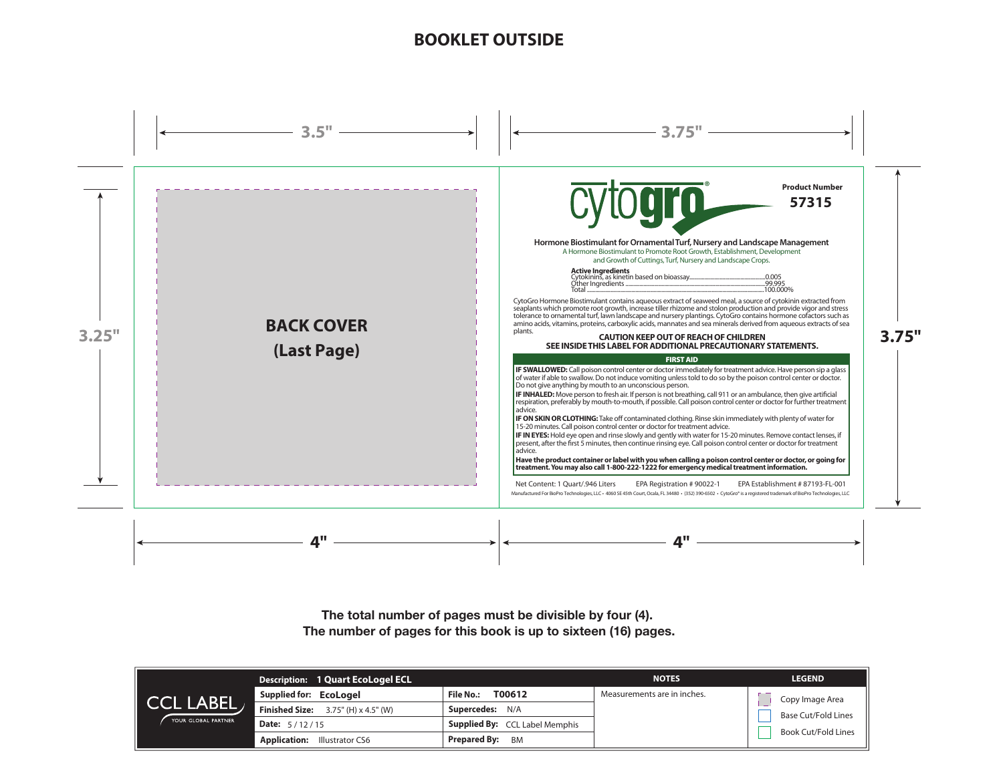# **BOOKLET OUTSIDE**



**The total number of pages must be divisible by four (4). The number of pages for this book is up to sixteen (16) pages.**

|                                                | <b>Description: 1 Quart EcoLogel ECL</b>             |                                       | <b>NOTES</b>                | <b>LEGEND</b>                                                        |
|------------------------------------------------|------------------------------------------------------|---------------------------------------|-----------------------------|----------------------------------------------------------------------|
| $\parallel$ CCL LABEL .<br>YOUR GLOBAL PARTNER | Supplied for: EcoLogel                               | T00612<br>File No.:                   | Measurements are in inches. | Copy Image Area<br><b>Base Cut/Fold Lines</b><br>Book Cut/Fold Lines |
|                                                | <b>Finished Size:</b> $3.75''$ (H) $\times$ 4.5" (W) | <b>Supercedes: N/A</b>                |                             |                                                                      |
|                                                | <b>Date:</b> $5/12/15$                               | <b>Supplied By:</b> CCL Label Memphis |                             |                                                                      |
|                                                | <b>Application:</b><br>Illustrator CS6               | <b>Prepared By:</b><br><b>BM</b>      |                             |                                                                      |